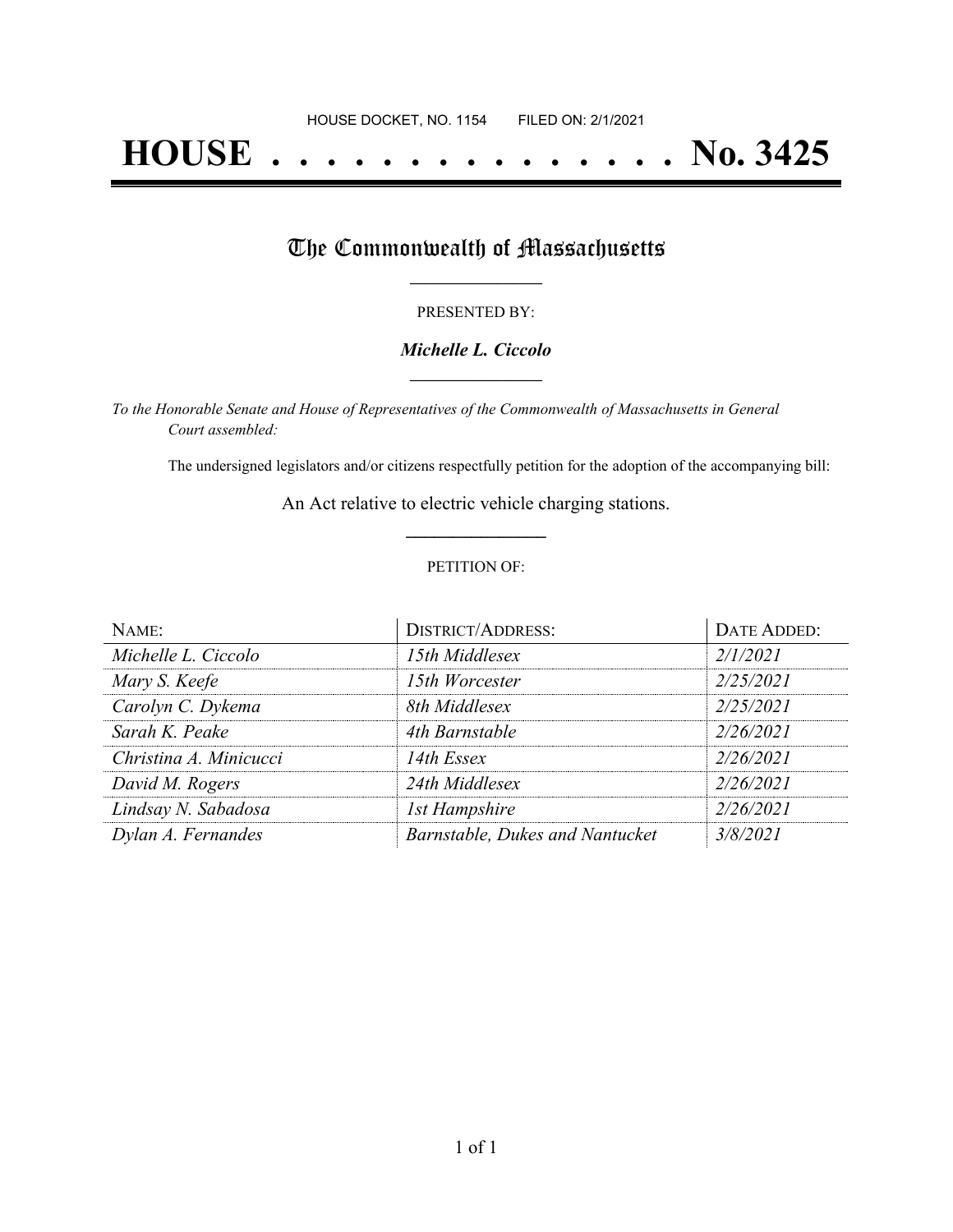# **HOUSE . . . . . . . . . . . . . . . No. 3425**

## The Commonwealth of Massachusetts

#### PRESENTED BY:

#### *Michelle L. Ciccolo* **\_\_\_\_\_\_\_\_\_\_\_\_\_\_\_\_\_**

*To the Honorable Senate and House of Representatives of the Commonwealth of Massachusetts in General Court assembled:*

The undersigned legislators and/or citizens respectfully petition for the adoption of the accompanying bill:

An Act relative to electric vehicle charging stations. **\_\_\_\_\_\_\_\_\_\_\_\_\_\_\_**

#### PETITION OF:

| NAME:                  | <b>DISTRICT/ADDRESS:</b>        | DATE ADDED: |
|------------------------|---------------------------------|-------------|
| Michelle L. Ciccolo    | 15th Middlesex                  | 2/1/2021    |
| Mary S. Keefe          | 15th Worcester                  | 2/25/2021   |
| Carolyn C. Dykema      | 8th Middlesex                   | 2/25/2021   |
| Sarah K. Peake         | 4th Barnstable                  | 2/26/2021   |
| Christina A. Minicucci | 14th Essex                      | 2/26/2021   |
| David M. Rogers        | 24th Middlesex                  | 2/26/2021   |
| Lindsay N. Sabadosa    | <b>1st Hampshire</b>            | 2/26/2021   |
| Dylan A. Fernandes     | Barnstable, Dukes and Nantucket | 3/8/2021    |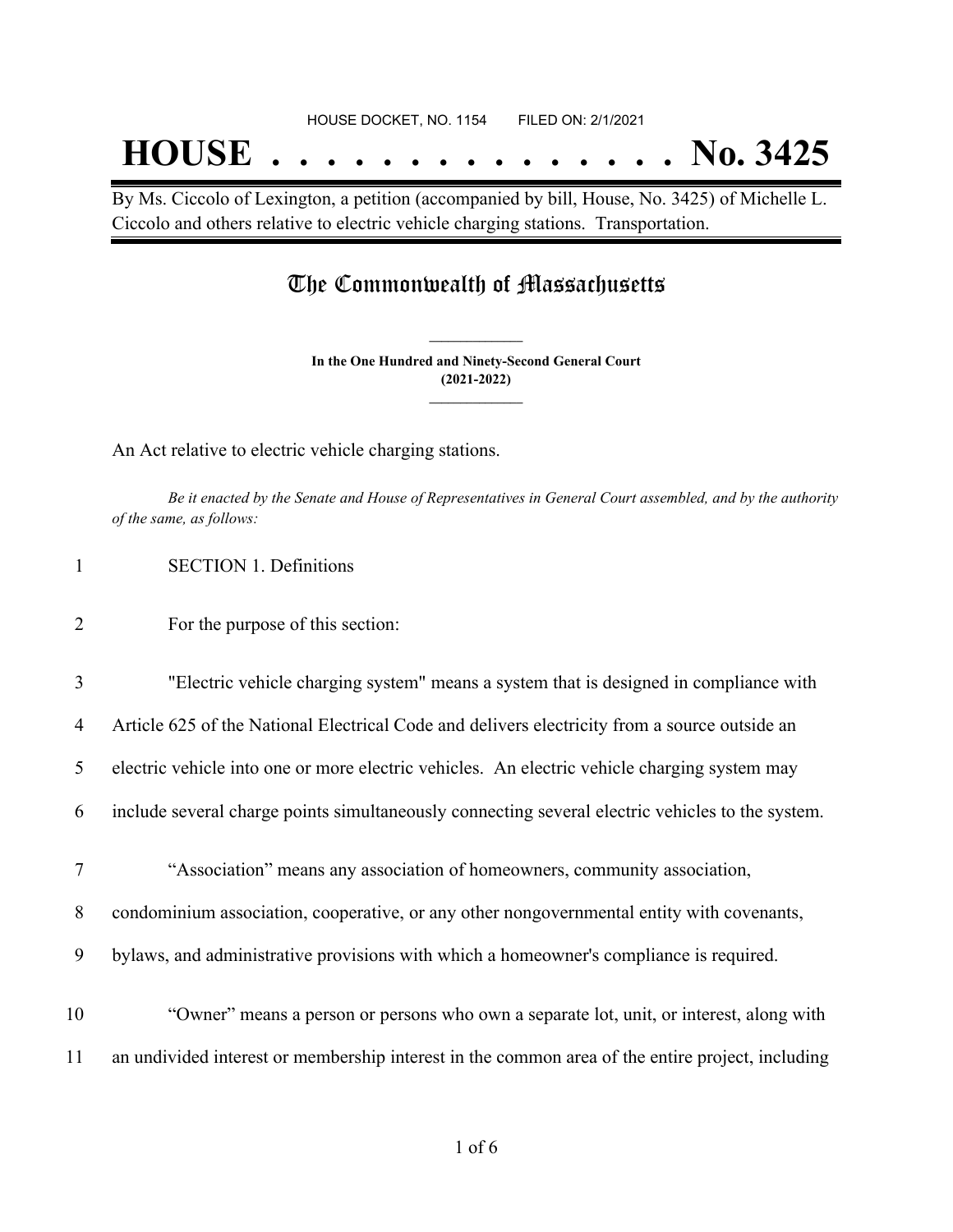#### HOUSE DOCKET, NO. 1154 FILED ON: 2/1/2021

## **HOUSE . . . . . . . . . . . . . . . No. 3425**

By Ms. Ciccolo of Lexington, a petition (accompanied by bill, House, No. 3425) of Michelle L. Ciccolo and others relative to electric vehicle charging stations. Transportation.

### The Commonwealth of Massachusetts

**In the One Hundred and Ninety-Second General Court (2021-2022) \_\_\_\_\_\_\_\_\_\_\_\_\_\_\_**

**\_\_\_\_\_\_\_\_\_\_\_\_\_\_\_**

An Act relative to electric vehicle charging stations.

Be it enacted by the Senate and House of Representatives in General Court assembled, and by the authority *of the same, as follows:*

1 SECTION 1. Definitions

- 2 For the purpose of this section:
- 3 "Electric vehicle charging system" means a system that is designed in compliance with

4 Article 625 of the National Electrical Code and delivers electricity from a source outside an

5 electric vehicle into one or more electric vehicles. An electric vehicle charging system may

6 include several charge points simultaneously connecting several electric vehicles to the system.

7 "Association" means any association of homeowners, community association,

8 condominium association, cooperative, or any other nongovernmental entity with covenants,

9 bylaws, and administrative provisions with which a homeowner's compliance is required.

10 "Owner" means a person or persons who own a separate lot, unit, or interest, along with 11 an undivided interest or membership interest in the common area of the entire project, including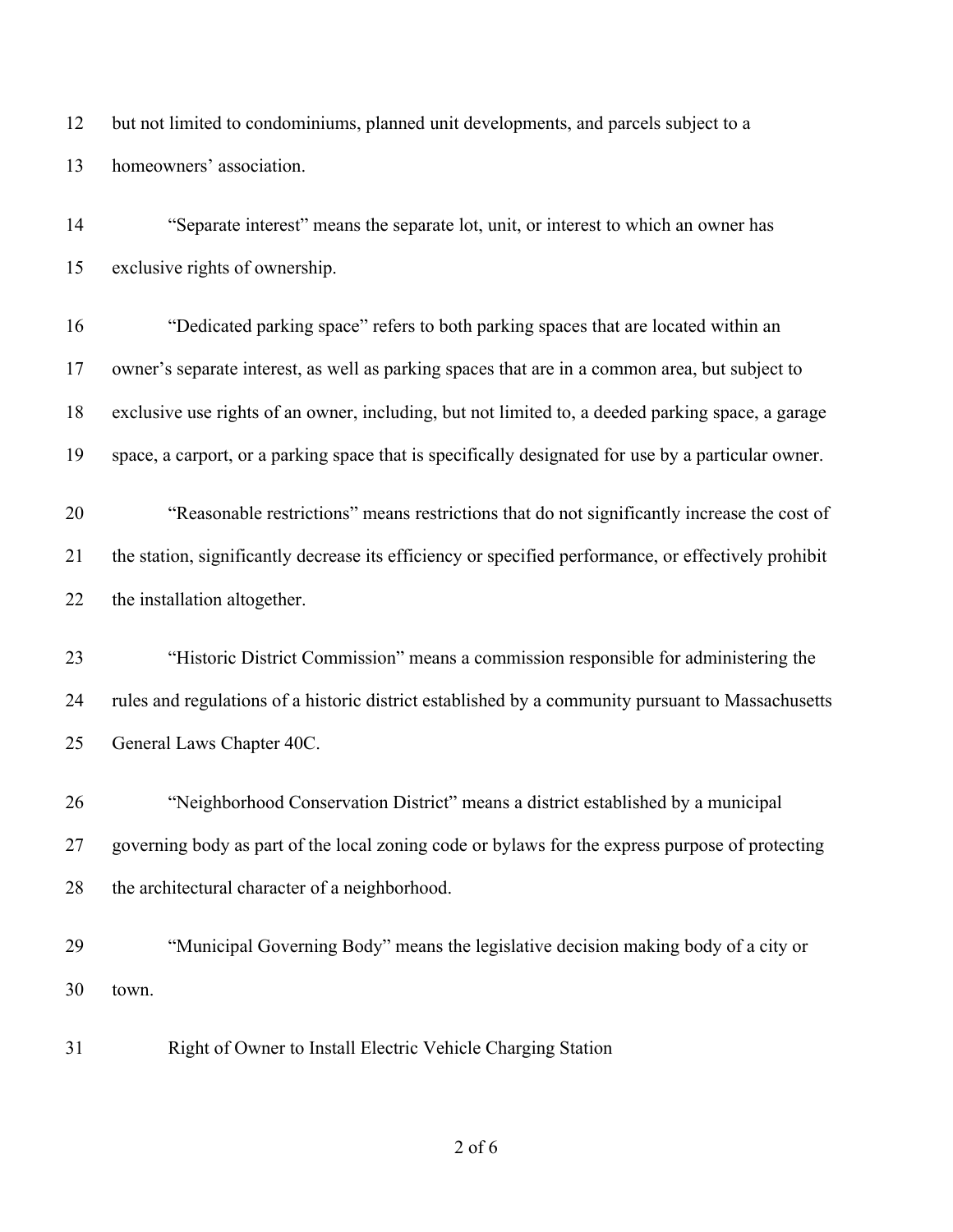but not limited to condominiums, planned unit developments, and parcels subject to a homeowners' association.

 "Separate interest" means the separate lot, unit, or interest to which an owner has exclusive rights of ownership.

 "Dedicated parking space" refers to both parking spaces that are located within an owner's separate interest, as well as parking spaces that are in a common area, but subject to exclusive use rights of an owner, including, but not limited to, a deeded parking space, a garage space, a carport, or a parking space that is specifically designated for use by a particular owner.

 "Reasonable restrictions" means restrictions that do not significantly increase the cost of the station, significantly decrease its efficiency or specified performance, or effectively prohibit the installation altogether.

 "Historic District Commission" means a commission responsible for administering the rules and regulations of a historic district established by a community pursuant to Massachusetts General Laws Chapter 40C.

 "Neighborhood Conservation District" means a district established by a municipal governing body as part of the local zoning code or bylaws for the express purpose of protecting the architectural character of a neighborhood.

 "Municipal Governing Body" means the legislative decision making body of a city or town.

Right of Owner to Install Electric Vehicle Charging Station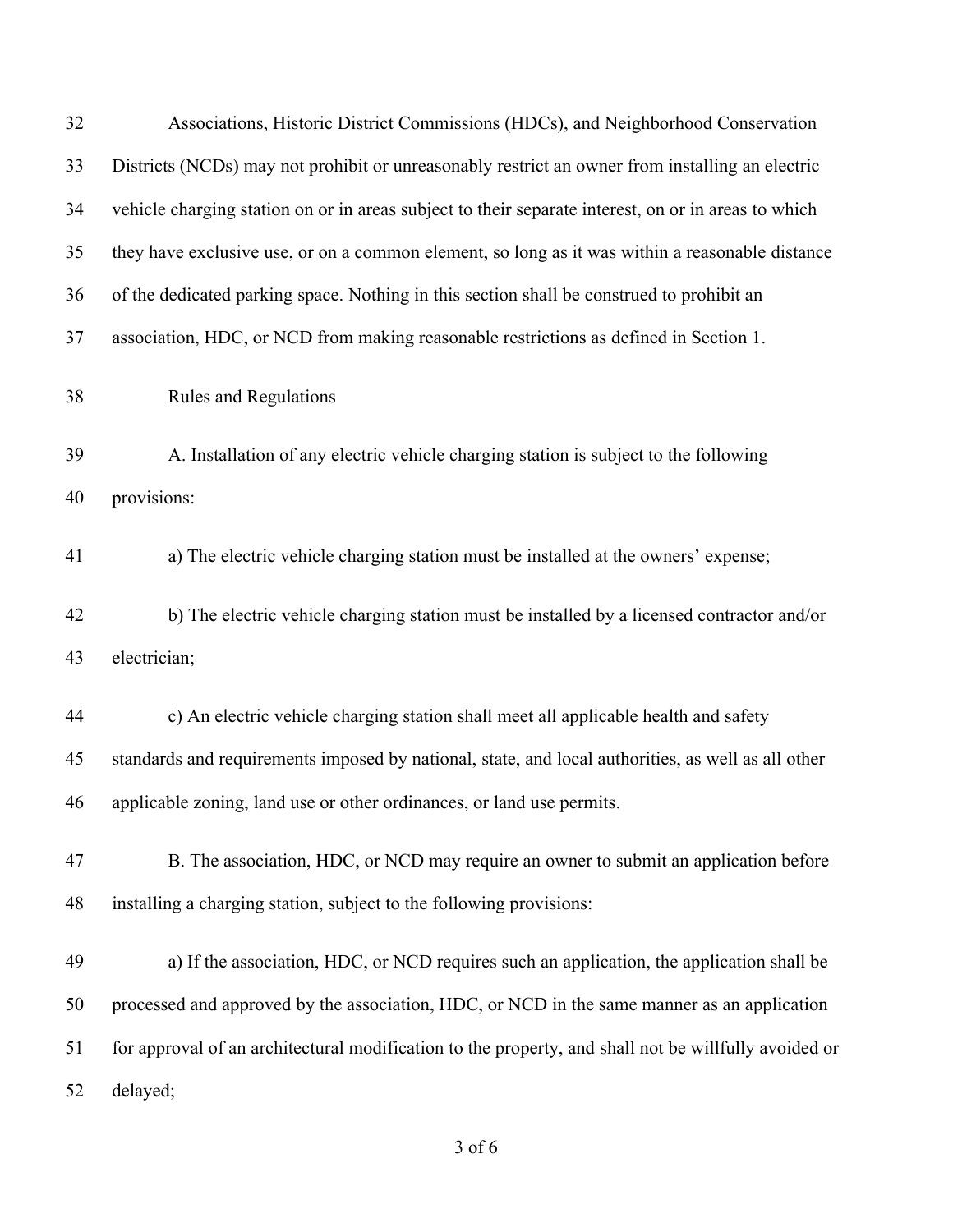| 32 | Associations, Historic District Commissions (HDCs), and Neighborhood Conservation                    |
|----|------------------------------------------------------------------------------------------------------|
| 33 | Districts (NCDs) may not prohibit or unreasonably restrict an owner from installing an electric      |
| 34 | vehicle charging station on or in areas subject to their separate interest, on or in areas to which  |
| 35 | they have exclusive use, or on a common element, so long as it was within a reasonable distance      |
| 36 | of the dedicated parking space. Nothing in this section shall be construed to prohibit an            |
| 37 | association, HDC, or NCD from making reasonable restrictions as defined in Section 1.                |
| 38 | Rules and Regulations                                                                                |
| 39 | A. Installation of any electric vehicle charging station is subject to the following                 |
| 40 | provisions:                                                                                          |
| 41 | a) The electric vehicle charging station must be installed at the owners' expense;                   |
| 42 | b) The electric vehicle charging station must be installed by a licensed contractor and/or           |
| 43 | electrician;                                                                                         |
| 44 | c) An electric vehicle charging station shall meet all applicable health and safety                  |
| 45 | standards and requirements imposed by national, state, and local authorities, as well as all other   |
| 46 | applicable zoning, land use or other ordinances, or land use permits.                                |
| 47 | B. The association, HDC, or NCD may require an owner to submit an application before                 |
| 48 | installing a charging station, subject to the following provisions:                                  |
| 49 | a) If the association, HDC, or NCD requires such an application, the application shall be            |
| 50 | processed and approved by the association, HDC, or NCD in the same manner as an application          |
| 51 | for approval of an architectural modification to the property, and shall not be willfully avoided or |
| 52 | delayed;                                                                                             |

of 6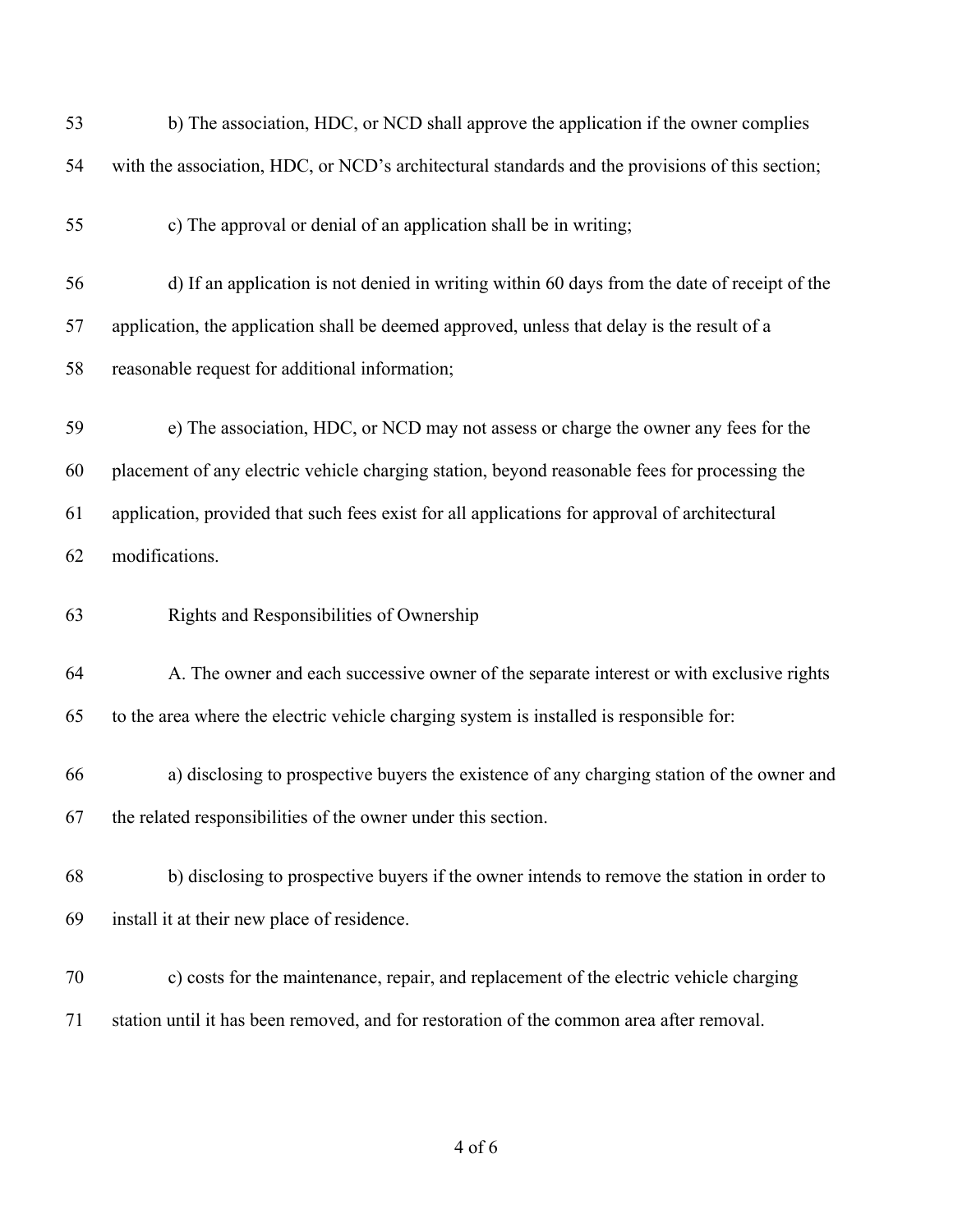| 53 | b) The association, HDC, or NCD shall approve the application if the owner complies             |
|----|-------------------------------------------------------------------------------------------------|
| 54 | with the association, HDC, or NCD's architectural standards and the provisions of this section; |
| 55 | c) The approval or denial of an application shall be in writing;                                |
| 56 | d) If an application is not denied in writing within 60 days from the date of receipt of the    |
| 57 | application, the application shall be deemed approved, unless that delay is the result of a     |
| 58 | reasonable request for additional information;                                                  |
| 59 | e) The association, HDC, or NCD may not assess or charge the owner any fees for the             |
| 60 | placement of any electric vehicle charging station, beyond reasonable fees for processing the   |
| 61 | application, provided that such fees exist for all applications for approval of architectural   |
| 62 | modifications.                                                                                  |
| 63 | Rights and Responsibilities of Ownership                                                        |
| 64 | A. The owner and each successive owner of the separate interest or with exclusive rights        |
| 65 | to the area where the electric vehicle charging system is installed is responsible for:         |
| 66 | a) disclosing to prospective buyers the existence of any charging station of the owner and      |
|    | the related responsibilities of the owner under this section.                                   |
| 67 |                                                                                                 |
| 68 | b) disclosing to prospective buyers if the owner intends to remove the station in order to      |
| 69 | install it at their new place of residence.                                                     |
| 70 | c) costs for the maintenance, repair, and replacement of the electric vehicle charging          |

of 6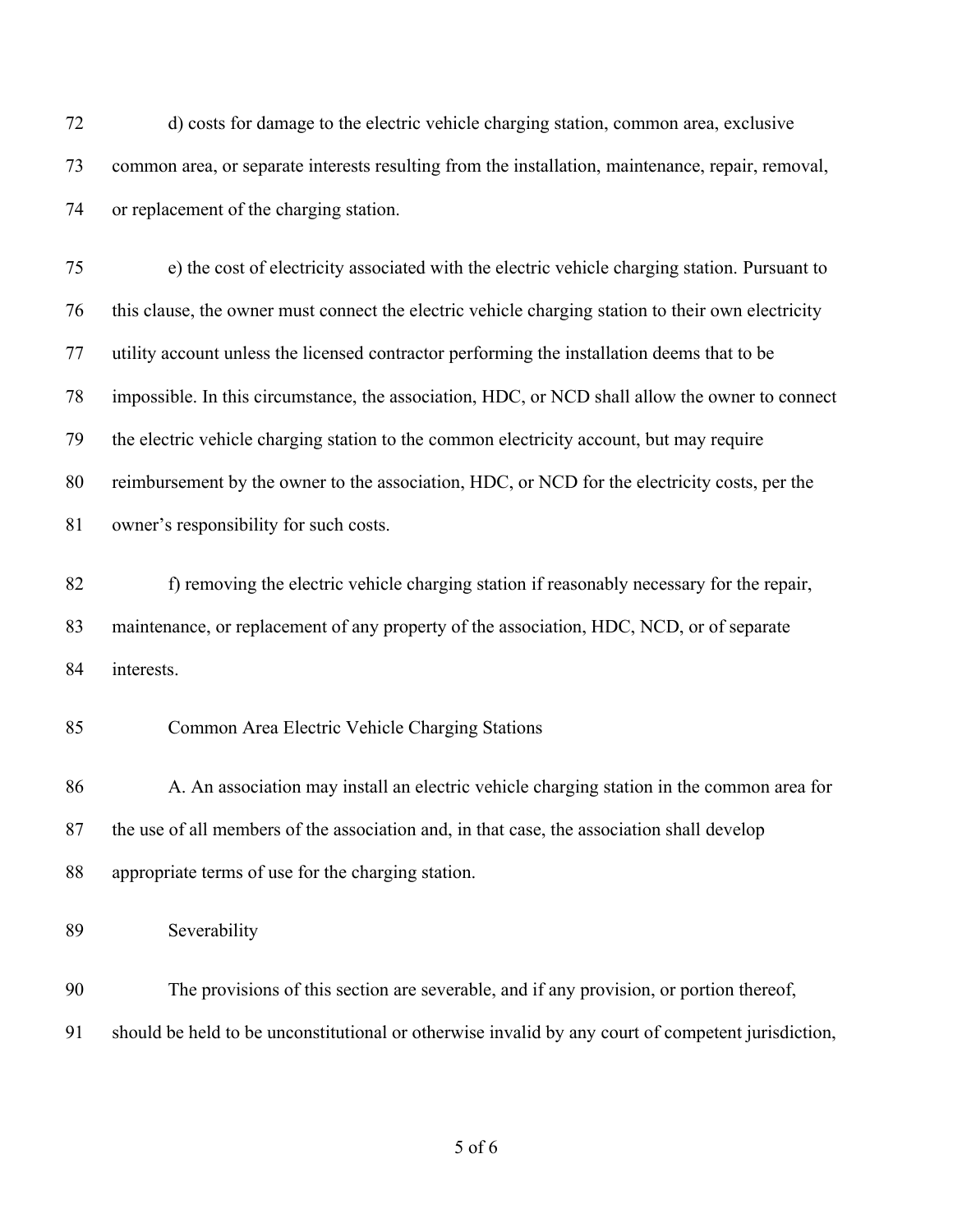d) costs for damage to the electric vehicle charging station, common area, exclusive common area, or separate interests resulting from the installation, maintenance, repair, removal, or replacement of the charging station.

 e) the cost of electricity associated with the electric vehicle charging station. Pursuant to this clause, the owner must connect the electric vehicle charging station to their own electricity utility account unless the licensed contractor performing the installation deems that to be impossible. In this circumstance, the association, HDC, or NCD shall allow the owner to connect the electric vehicle charging station to the common electricity account, but may require reimbursement by the owner to the association, HDC, or NCD for the electricity costs, per the owner's responsibility for such costs.

 f) removing the electric vehicle charging station if reasonably necessary for the repair, maintenance, or replacement of any property of the association, HDC, NCD, or of separate interests.

#### Common Area Electric Vehicle Charging Stations

86 A. An association may install an electric vehicle charging station in the common area for the use of all members of the association and, in that case, the association shall develop appropriate terms of use for the charging station.

Severability

 The provisions of this section are severable, and if any provision, or portion thereof, should be held to be unconstitutional or otherwise invalid by any court of competent jurisdiction,